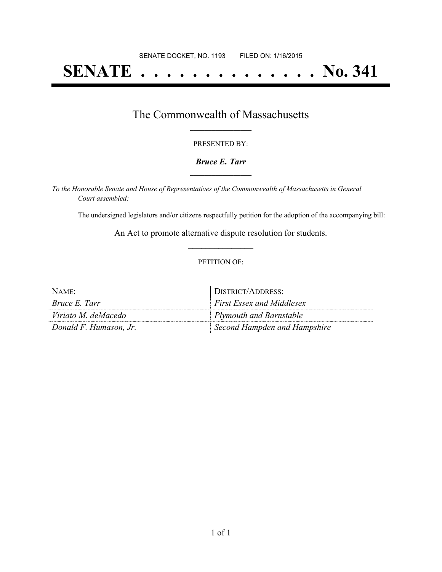# **SENATE . . . . . . . . . . . . . . No. 341**

### The Commonwealth of Massachusetts **\_\_\_\_\_\_\_\_\_\_\_\_\_\_\_\_\_**

#### PRESENTED BY:

#### *Bruce E. Tarr* **\_\_\_\_\_\_\_\_\_\_\_\_\_\_\_\_\_**

*To the Honorable Senate and House of Representatives of the Commonwealth of Massachusetts in General Court assembled:*

The undersigned legislators and/or citizens respectfully petition for the adoption of the accompanying bill:

An Act to promote alternative dispute resolution for students. **\_\_\_\_\_\_\_\_\_\_\_\_\_\_\_**

#### PETITION OF:

| NAME:                  | DISTRICT/ADDRESS:                |
|------------------------|----------------------------------|
| Bruce E. Tarr          | <b>First Essex and Middlesex</b> |
| Viriato M. deMacedo    | Plymouth and Barnstable          |
| Donald F. Humason, Jr. | Second Hampden and Hampshire     |